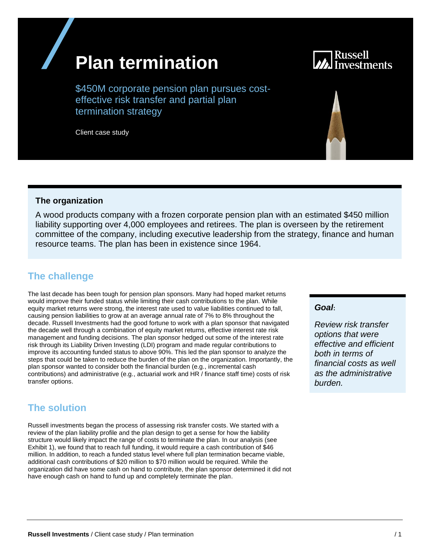# **Plan termination**



\$450M corporate pension plan pursues costeffective risk transfer and partial plan termination strategy

Client case study

### **The organization**

A wood products company with a frozen corporate pension plan with an estimated \$450 million liability supporting over 4,000 employees and retirees. The plan is overseen by the retirement committee of the company, including executive leadership from the strategy, finance and human resource teams. The plan has been in existence since 1964.

## **The challenge**

The last decade has been tough for pension plan sponsors. Many had hoped market returns would improve their funded status while limiting their cash contributions to the plan. While equity market returns were strong, the interest rate used to value liabilities continued to fall, causing pension liabilities to grow at an average annual rate of 7% to 8% throughout the decade. Russell Investments had the good fortune to work with a plan sponsor that navigated the decade well through a combination of equity market returns, effective interest rate risk management and funding decisions. The plan sponsor hedged out some of the interest rate risk through its Liability Driven Investing (LDI) program and made regular contributions to improve its accounting funded status to above 90%. This led the plan sponsor to analyze the steps that could be taken to reduce the burden of the plan on the organization. Importantly, the plan sponsor wanted to consider both the financial burden (e.g., incremental cash contributions) and administrative (e.g., actuarial work and HR / finance staff time) costs of risk transfer options.

## **The solution**

Russell investments began the process of assessing risk transfer costs. We started with a review of the plan liability profile and the plan design to get a sense for how the liability structure would likely impact the range of costs to terminate the plan. In our analysis (see Exhibit 1), we found that to reach full funding, it would require a cash contribution of \$46 million. In addition, to reach a funded status level where full plan termination became viable, additional cash contributions of \$20 million to \$70 million would be required. While the organization did have some cash on hand to contribute, the plan sponsor determined it did not have enough cash on hand to fund up and completely terminate the plan.

#### *Goal***:**

*Review risk transfer options that were effective and efficient both in terms of financial costs as well as the administrative burden.*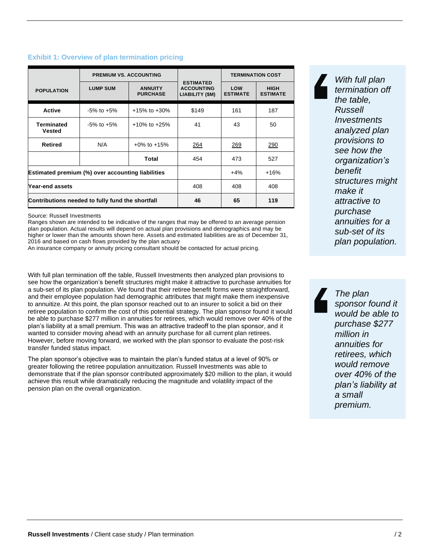|                                                   | <b>PREMIUM VS. ACCOUNTING</b> |                                   |                                                          | <b>TERMINATION COST</b> |                                |
|---------------------------------------------------|-------------------------------|-----------------------------------|----------------------------------------------------------|-------------------------|--------------------------------|
| <b>POPULATION</b>                                 | <b>LUMP SUM</b>               | <b>ANNUITY</b><br><b>PURCHASE</b> | <b>ESTIMATED</b><br><b>ACCOUNTING</b><br>LIABILITY (\$M) | LOW<br><b>ESTIMATE</b>  | <b>HIGH</b><br><b>ESTIMATE</b> |
| <b>Active</b>                                     | $-5\%$ to $+5\%$              | $+15\%$ to $+30\%$                | \$149                                                    | 161                     | 187                            |
| <b>Terminated</b><br><b>Vested</b>                | $-5\%$ to $+5\%$              | $+10\%$ to $+25\%$                | 41                                                       | 43                      | 50                             |
| Retired                                           | N/A                           | $+0\%$ to $+15\%$                 | 264                                                      | 269                     | 290                            |
|                                                   |                               | Total                             | 454                                                      | 473                     | 527                            |
| Estimated premium (%) over accounting liabilities |                               |                                   |                                                          | $+4%$                   | +16%                           |
| Year-end assets                                   |                               |                                   | 408                                                      | 408                     | 408                            |
| Contributions needed to fully fund the shortfall  |                               |                                   | 46                                                       | 65                      | 119                            |

#### **Exhibit 1: Overview of plan termination pricing**

Source: Russell Investments

Ranges shown are intended to be indicative of the ranges that may be offered to an average pension plan population. Actual results will depend on actual plan provisions and demographics and may be higher or lower than the amounts shown here. Assets and estimated liabilities are as of December 31, 2016 and based on cash flows provided by the plan actuary

An insurance company or annuity pricing consultant should be contacted for actual pricing.

With full plan termination off the table, Russell Investments then analyzed plan provisions to see how the organization's benefit structures might make it attractive to purchase annuities for a sub-set of its plan population. We found that their retiree benefit forms were straightforward, and their employee population had demographic attributes that might make them inexpensive to annuitize. At this point, the plan sponsor reached out to an insurer to solicit a bid on their retiree population to confirm the cost of this potential strategy. The plan sponsor found it would be able to purchase \$277 million in annuities for retirees, which would remove over 40% of the plan's liability at a small premium. This was an attractive tradeoff to the plan sponsor, and it wanted to consider moving ahead with an annuity purchase for all current plan retirees. However, before moving forward, we worked with the plan sponsor to evaluate the post-risk transfer funded status impact.

The plan sponsor's objective was to maintain the plan's funded status at a level of 90% or greater following the retiree population annuitization. Russell Investments was able to demonstrate that if the plan sponsor contributed approximately \$20 million to the plan, it would achieve this result while dramatically reducing the magnitude and volatility impact of the pension plan on the overall organization.

*With full plan termination off the table, Russell Investments analyzed plan provisions to see how the organization's benefit structures might make it attractive to purchase annuities for a sub-set of its plan population.*

*The plan sponsor found it would be able to purchase \$277 million in annuities for retirees, which would remove over 40% of the plan's liability at a small premium.*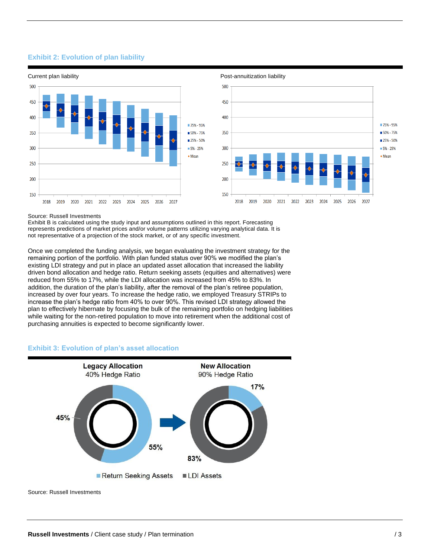#### **Exhibit 2: Evolution of plan liability**





#### Source: Russell Investments

Exhibit B is calculated using the study input and assumptions outlined in this report. Forecasting represents predictions of market prices and/or volume patterns utilizing varying analytical data. It is not representative of a projection of the stock market, or of any specific investment.

Once we completed the funding analysis, we began evaluating the investment strategy for the remaining portion of the portfolio. With plan funded status over 90% we modified the plan's existing LDI strategy and put in place an updated asset allocation that increased the liability driven bond allocation and hedge ratio. Return seeking assets (equities and alternatives) were reduced from 55% to 17%, while the LDI allocation was increased from 45% to 83%. In addition, the duration of the plan's liability, after the removal of the plan's retiree population, increased by over four years. To increase the hedge ratio, we employed Treasury STRIPs to increase the plan's hedge ratio from 40% to over 90%. This revised LDI strategy allowed the plan to effectively hibernate by focusing the bulk of the remaining portfolio on hedging liabilities while waiting for the non-retired population to move into retirement when the additional cost of purchasing annuities is expected to become significantly lower.

#### **Exhibit 3: Evolution of plan's asset allocation**



Source: Russell Investments